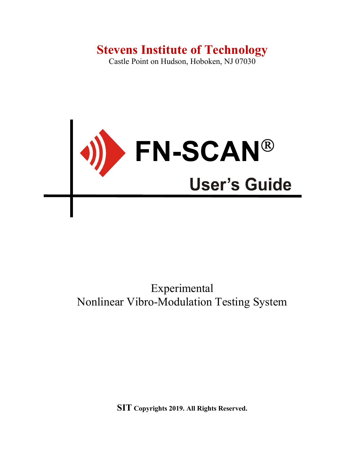# Stevens Institute of Technology

Castle Point on Hudson, Hoboken, NJ 07030



# Experimental Nonlinear Vibro-Modulation Testing System

SIT Copyrights 2019. All Rights Reserved.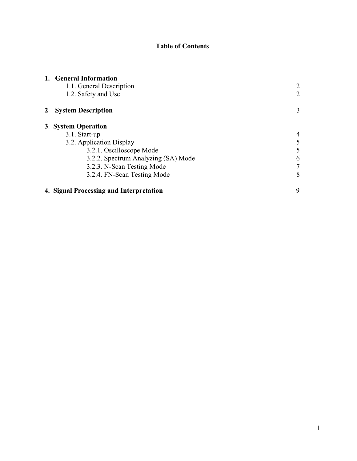# Table of Contents

| 1. General Information                  |                |  |  |  |
|-----------------------------------------|----------------|--|--|--|
| 1.1. General Description                |                |  |  |  |
| 1.2. Safety and Use                     | 2              |  |  |  |
| <b>System Description</b>               |                |  |  |  |
| 3. System Operation                     |                |  |  |  |
| 3.1. Start-up                           |                |  |  |  |
| 3.2. Application Display                | 5              |  |  |  |
| 3.2.1. Oscilloscope Mode                | 5              |  |  |  |
| 3.2.2. Spectrum Analyzing (SA) Mode     | 6              |  |  |  |
| 3.2.3. N-Scan Testing Mode              | $\overline{7}$ |  |  |  |
| 3.2.4. FN-Scan Testing Mode             | 8              |  |  |  |
| 4. Signal Processing and Interpretation | 9              |  |  |  |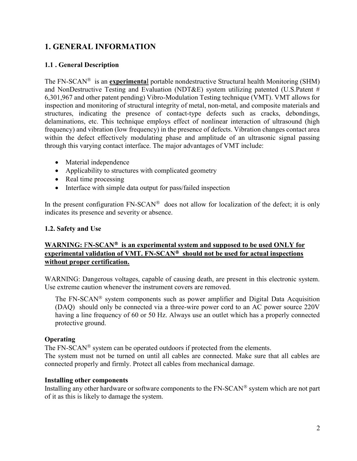# 1. GENERAL INFORMATION

### 1.1 . General Description

The FN-SCAN<sup>®</sup> is an **experimental** portable nondestructive Structural health Monitoring (SHM) and NonDestructive Testing and Evaluation (NDT&E) system utilizing patented (U.S.Patent # 6,301,967 and other patent pending) Vibro-Modulation Testing technique (VMT). VMT allows for inspection and monitoring of structural integrity of metal, non-metal, and composite materials and structures, indicating the presence of contact-type defects such as cracks, debondings, delaminations, etc. This technique employs effect of nonlinear interaction of ultrasound (high frequency) and vibration (low frequency) in the presence of defects. Vibration changes contact area within the defect effectively modulating phase and amplitude of an ultrasonic signal passing through this varying contact interface. The major advantages of VMT include:

- Material independence
- Applicability to structures with complicated geometry
- Real time processing
- Interface with simple data output for pass/failed inspection

In the present configuration  $FN-SCAN^{\otimes}$  does not allow for localization of the defect; it is only indicates its presence and severity or absence.

#### 1.2. Safety and Use

## WARNING:  $FN-SCAN^*$  is an experimental system and supposed to be used ONLY for experimental validation of VMT.  $FN-SCAN^{\otimes}$  should not be used for actual inspections without proper certification.

WARNING: Dangerous voltages, capable of causing death, are present in this electronic system. Use extreme caution whenever the instrument covers are removed.

The  $FN-SCAN<sup>®</sup>$  system components such as power amplifier and Digital Data Acquisition (DAQ) should only be connected via a three-wire power cord to an AC power source 220V having a line frequency of 60 or 50 Hz. Always use an outlet which has a properly connected protective ground.

#### **Operating**

The  $FN-SCAN^{\circledR}$  system can be operated outdoors if protected from the elements.

The system must not be turned on until all cables are connected. Make sure that all cables are connected properly and firmly. Protect all cables from mechanical damage.

#### Installing other components

Installing any other hardware or software components to the  $FN-SCAN^{\circledR}$  system which are not part of it as this is likely to damage the system.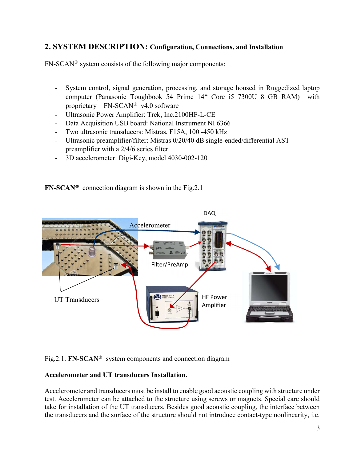# 2. SYSTEM DESCRIPTION: Configuration, Connections, and Installation

 $FN-SCAN<sup>®</sup>$  system consists of the following major components:

- System control, signal generation, processing, and storage housed in Ruggedized laptop computer (Panasonic Toughbook 54 Prime 14" Core i5 7300U 8 GB RAM) with proprietary  $FN-SCAN^{\circledast}$  v4.0 software
- Ultrasonic Power Amplifier: Trek, Inc.2100HF-L-CE
- Data Acquisition USB board: National Instrument NI 6366
- Two ultrasonic transducers: Mistras, F15A, 100 -450 kHz
- Ultrasonic preamplifier/filter: Mistras 0/20/40 dB single-ended/differential AST preamplifier with a 2/4/6 series filter
- 3D accelerometer: Digi-Key, model 4030-002-120

# $FN-SCAN<sup>®</sup>$  connection diagram is shown in the Fig.2.1



Fig.2.1. FN-SCAN<sup>®</sup> system components and connection diagram

### Accelerometer and UT transducers Installation.

Accelerometer and transducers must be install to enable good acoustic coupling with structure under test. Accelerometer can be attached to the structure using screws or magnets. Special care should take for installation of the UT transducers. Besides good acoustic coupling, the interface between the transducers and the surface of the structure should not introduce contact-type nonlinearity, i.e.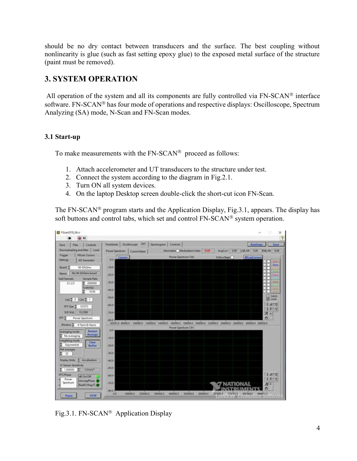should be no dry contact between transducers and the surface. The best coupling without nonlinearity is glue (such as fast setting epoxy glue) to the exposed metal surface of the structure (paint must be removed).

# 3. SYSTEM OPERATION

All operation of the system and all its components are fully controlled via  $FN-SCAN^{\circledast}$  interface software. FN-SCAN<sup>®</sup> has four mode of operations and respective displays: Oscilloscope, Spectrum Analyzing (SA) mode, N-Scan and FN-Scan modes.

## 3.1 Start-up

To make measurements with the  $FN-SCAN^{\circledast}$  proceed as follows:

- 1. Attach accelerometer and UT transducers to the structure under test.
- 2. Connect the system according to the diagram in Fig.2.1.
- 3. Turn ON all system devices.
- 4. On the laptop Desktop screen double-click the short-cut icon FN-Scan.

The FN-SCAN<sup>®</sup> program starts and the Application Display, Fig.3.1, appears. The display has soft buttons and control tabs, which set and control  $FN-SCAN<sup>®</sup>$  system operation.



Fig.3.1. FN-SCAN<sup>®</sup> Application Display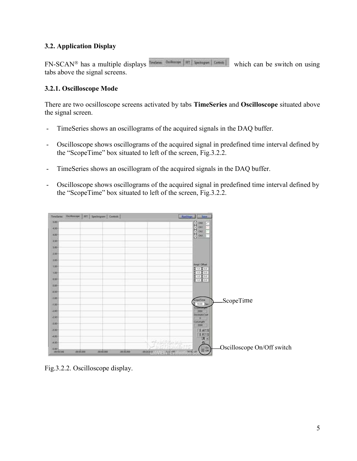## 3.2. Application Display

 $FN-SCAN^{\circledast}$  has a multiple displays which can be switch on using tabs above the signal screens.

## 3.2.1. Oscilloscope Mode

There are two ocsilloscope screens activated by tabs TimeSeries and Oscilloscope situated above the signal screen.

- TimeSeries shows an oscillograms of the acquired signals in the DAQ buffer.
- Oscilloscope shows oscillograms of the acquired signal in predefined time interval defined by the "ScopeTime" box situated to left of the screen, Fig.3.2.2.
- TimeSeries shows an oscillogram of the acquired signals in the DAQ buffer.
- Oscilloscope shows oscillograms of the acquired signal in predefined time interval defined by the "ScopeTime" box situated to left of the screen, Fig.3.2.2.

| Tenderer:                       | Outlouse   H1   Spectrogram   Controls | [Radforge]<br><b>There</b>                                                                                                                                                                                                                                                             |                            |
|---------------------------------|----------------------------------------|----------------------------------------------------------------------------------------------------------------------------------------------------------------------------------------------------------------------------------------------------------------------------------------|----------------------------|
| 5.00<br>330                     |                                        | 8888                                                                                                                                                                                                                                                                                   |                            |
| 4.00<br>$110 -$<br>$3.00 -$     |                                        |                                                                                                                                                                                                                                                                                        |                            |
| 2.95<br>1.00-                   |                                        |                                                                                                                                                                                                                                                                                        |                            |
| 7.50<br>1.00                    |                                        | <b><i><u>Impl. Diffset</u></i></b><br>ъ<br>0.5<br>T.B<br>10 200                                                                                                                                                                                                                        |                            |
| 856<br>15.00                    |                                        | 100000                                                                                                                                                                                                                                                                                 |                            |
| -630                            |                                        |                                                                                                                                                                                                                                                                                        |                            |
| $-1.00$<br>$-1.50$ <sup>*</sup> |                                        | ScepeTime<br>10.00<br><b><i><i><u>ABORSARIA</u></i></i></b>                                                                                                                                                                                                                            | ScopeTime                  |
| 12.00<br>4.90                   |                                        | 3960<br>DenimateCost<br>n<br>Culteriam                                                                                                                                                                                                                                                 |                            |
| -3.00-<br>1530                  |                                        | 1990                                                                                                                                                                                                                                                                                   |                            |
| 14.00<br>14.50                  |                                        | $\begin{array}{ c c } \hline 1 & \mathcal{M}^{\text{reg}} \\ \hline 1 & \mathcal{B}^{\text{reg}} \\ \hline \mathcal{B} & \mathcal{B} \\ \hline \mathcal{B} & \mathcal{B} \\ \hline \mathcal{B} & \mathcal{B} \\ \hline \end{array}$<br>of a bittiba biz<br>$1 - 2$<br>$\frac{0n}{100}$ | Oscilloscope On/Off switch |

Fig.3.2.2. Oscilloscope display.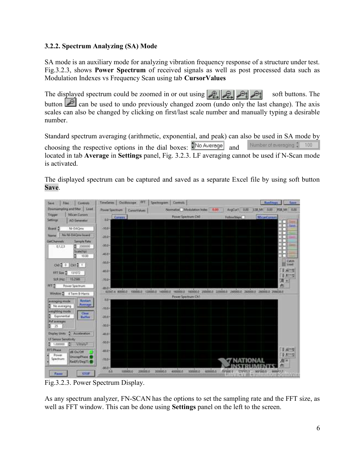## 3.2.2. Spectrum Analyzing (SA) Mode

SA mode is an auxiliary mode for analyzing vibration frequency response of a structure under test. Fig.3.2.3, shows Power Spectrum of received signals as well as post processed data such as Modulation Indexes vs Frequency Scan using tab CursorValues

The displayed spectrum could be zoomed in or out using  $\mathcal{L}[\mathcal{L}[\mathcal{L}]\mathcal{L}]$   $\mathcal{L}[\mathcal{L}]$  soft buttons. The button can be used to undo previously changed zoom (undo only the last change). The axis scales can also be changed by clicking on first/last scale number and manually typing a desirable number.

Standard spectrum averaging (arithmetic, exponential, and peak) can also be used in SA mode by choosing the respective options in the dial boxes:  $\frac{2}{3}$ No Average and Number of averaging # 100 located in tab Average in Settings panel, Fig. 3.2.3. LF averaging cannot be used if N-Scan mode is activated.

The displayed spectrum can be captured and saved as a separate Excel file by using soft button Save.



Fig.3.2.3. Power Spectrum Display.

As any spectrum analyzer, FN-SCAN has the options to set the sampling rate and the FFT size, as well as FFT window. This can be done using **Settings** panel on the left to the screen.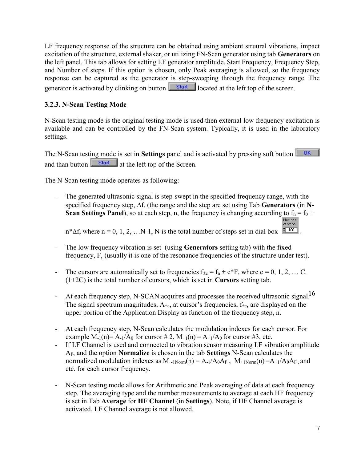LF frequency response of the structure can be obtained using ambient struural vibrations, impact excitation of the structure, external shaker, or utilizing FN-Scan generator using tab Generators on the left panel. This tab allows for setting LF generator amplitude, Start Frequency, Frequency Step, and Number of steps. If this option is chosen, only Peak averaging is allowed, so the frequency response can be captured as the generator is step-sweeping through the frequency range. The generator is activated by clinking on button  $\overline{\text{Start}}$  located at the left top of the screen.

## 3.2.3. N-Scan Testing Mode

N-Scan testing mode is the original testing mode is used then external low frequency excitation is available and can be controlled by the FN-Scan system. Typically, it is used in the laboratory settings.

The N-Scan testing mode is set in **Settings** panel and is activated by pressing soft button  $\overline{OR}$ and than button  $\frac{\text{Start}}{\text{start}}$  at the left top of the Screen.

The N-Scan testing mode operates as following:

The generated ultrasonic signal is step-swept in the specified frequency range, with the specified frequency step,  $\Delta f$ , (the range and the step are set using Tab Generators (in N-**Scan Settings Panel**), so at each step, n, the frequency is changing according to  $f_n = f_0 + f_1$ Number of steps

 $n^*\Delta f$ , where  $n = 0, 1, 2, ...N-1$ , N is the total number of steps set in dial box

- The low frequency vibration is set (using Generators setting tab) with the fixed frequency, F, (usually it is one of the resonance frequencies of the structure under test).
- The cursors are automatically set to frequencies  $f_{\pm c} = f_n \pm c^*F$ , where  $c = 0, 1, 2, ...$  C.  $(1+2C)$  is the total number of cursors, which is set in **Cursors** setting tab.
- At each frequency step, N-SCAN acquires and processes the received ultrasonic signal.<sup>16</sup> The signal spectrum magnitudes,  $A_{\pm c}$ , at cursor's frequencies,  $f_{\pm c}$ , are displayed on the upper portion of the Application Display as function of the frequency step, n.
- At each frequency step, N-Scan calculates the modulation indexes for each cursor. For example  $M_{-1}(n) = A_{-1}/A_0$  for cursor #2,  $M_{+1}(n) = A_{+1}/A_0$  for cursor #3, etc.
- If LF Channel is used and connected to vibration sensor measuring LF vibration amplitude AF, and the option Normalize is chosen in the tab Settings N-Scan calculates the normalized modulation indexes as M  $\text{--}_{1\text{Norm}}(n) = A_{-1}/A_0A_F$ ,  $M_{+1\text{Norm}}(n) = A_{+1}/A_0A_F$ , and etc. for each cursor frequency.
- N-Scan testing mode allows for Arithmetic and Peak averaging of data at each frequency step. The averaging type and the number measurements to average at each HF frequency is set in Tab Average for HF Channel (in Settings). Note, if HF Channel average is activated, LF Channel average is not allowed.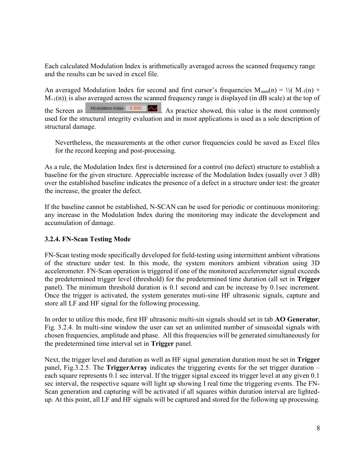Each calculated Modulation Index is arithmetically averaged across the scanned frequency range and the results can be saved in excel file.

An averaged Modulation Index for second and first cursor's frequencies  $M_{sum}(n) = \frac{1}{2}(M_{-1}(n) +$  $M_{+1}(n)$ ), is also averaged across the scanned frequency range is displayed (in dB scale) at the top of the Screen as  $\frac{\text{Modulation Index} \cdot \text{0.000}}{\text{A}}$  As practice showed, this value is the most commonly used for the structural integrity evaluation and in most applications is used as a sole description of structural damage.

Nevertheless, the measurements at the other cursor frequencies could be saved as Excel files for the record keeping and post-processing.

As a rule, the Modulation Index first is determined for a control (no defect) structure to establish a baseline for the given structure. Appreciable increase of the Modulation Index (usually over 3 dB) over the established baseline indicates the presence of a defect in a structure under test: the greater the increase, the greater the defect.

If the baseline cannot be established, N-SCAN can be used for periodic or continuous monitoring: any increase in the Modulation Index during the monitoring may indicate the development and accumulation of damage.

### 3.2.4. FN-Scan Testing Mode

FN-Scan testing mode specifically developed for field-testing using intermittent ambient vibrations of the structure under test. In this mode, the system monitors ambient vibration using 3D accelerometer. FN-Scan operation is triggered if one of the monitored accelerometer signal exceeds the predetermined trigger level (threshold) for the predetermined time duration (all set in Trigger panel). The minimum threshold duration is 0.1 second and can be increase by 0.1sec increment. Once the trigger is activated, the system generates muti-sine HF ultrasonic signals, capture and store all LF and HF signal for the following processing.

In order to utilize this mode, first HF ultrasonic multi-sin signals should set in tab AO Generator, Fig. 3.2.4. In multi-sine window the user can set an unlimited number of sinusoidal signals with chosen frequencies, amplitude and phase. All this frequencies will be generated simultaneously for the predetermined time interval set in Trigger panel.

Next, the trigger level and duration as well as HF signal generation duration must be set in **Trigger** panel, Fig.3.2.5. The TriggerArray indicates the triggering events for the set trigger duration – each square represents 0.1 sec interval. If the trigger signal exceed its trigger level at any given 0.1 sec interval, the respective square will light up showing I real time the triggering events. The FN-Scan generation and capturing will be activated if all squares within duration interval are lightedup. At this point, all LF and HF signals will be captured and stored for the following up processing.